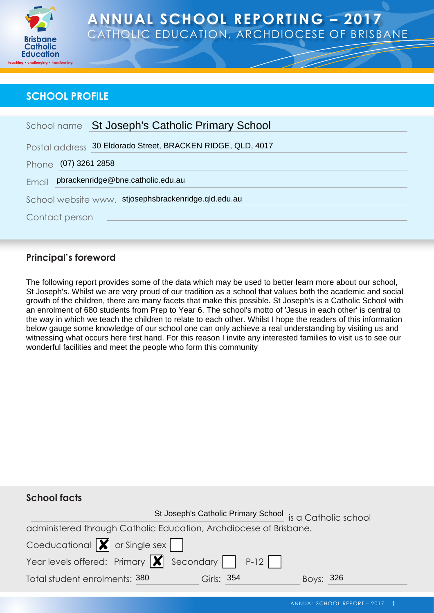

# **ANNUAL SCHOOL REPORTING – 2017** CATHOLIC EDUCATION, ARCHDIOCESE OF BRISBANE

### **SCHOOL PROFILE**

| School name St Joseph's Catholic Primary School                                                                                                                                                                                                                                                                                                                                                                                                                                                                                                                                                                                                                                                                                                                                                                                                                        |  |  |  |  |  |  |
|------------------------------------------------------------------------------------------------------------------------------------------------------------------------------------------------------------------------------------------------------------------------------------------------------------------------------------------------------------------------------------------------------------------------------------------------------------------------------------------------------------------------------------------------------------------------------------------------------------------------------------------------------------------------------------------------------------------------------------------------------------------------------------------------------------------------------------------------------------------------|--|--|--|--|--|--|
| Postal address 30 Eldorado Street, BRACKEN RIDGE, QLD, 4017                                                                                                                                                                                                                                                                                                                                                                                                                                                                                                                                                                                                                                                                                                                                                                                                            |  |  |  |  |  |  |
| Phone (07) 3261 2858                                                                                                                                                                                                                                                                                                                                                                                                                                                                                                                                                                                                                                                                                                                                                                                                                                                   |  |  |  |  |  |  |
| pbrackenridge@bne.catholic.edu.au<br>Email                                                                                                                                                                                                                                                                                                                                                                                                                                                                                                                                                                                                                                                                                                                                                                                                                             |  |  |  |  |  |  |
| School website www. stjosephsbrackenridge.qld.edu.au                                                                                                                                                                                                                                                                                                                                                                                                                                                                                                                                                                                                                                                                                                                                                                                                                   |  |  |  |  |  |  |
| Contact person                                                                                                                                                                                                                                                                                                                                                                                                                                                                                                                                                                                                                                                                                                                                                                                                                                                         |  |  |  |  |  |  |
|                                                                                                                                                                                                                                                                                                                                                                                                                                                                                                                                                                                                                                                                                                                                                                                                                                                                        |  |  |  |  |  |  |
| <b>Principal's foreword</b>                                                                                                                                                                                                                                                                                                                                                                                                                                                                                                                                                                                                                                                                                                                                                                                                                                            |  |  |  |  |  |  |
| The following report provides some of the data which may be used to better learn more about our school,<br>St Joseph's. Whilst we are very proud of our tradition as a school that values both the academic and social<br>growth of the children, there are many facets that make this possible. St Joseph's is a Catholic School with<br>an enrolment of 680 students from Prep to Year 6. The school's motto of 'Jesus in each other' is central to<br>the way in which we teach the children to relate to each other. Whilst I hope the readers of this information<br>below gauge some knowledge of our school one can only achieve a real understanding by visiting us and<br>witnessing what occurs here first hand. For this reason I invite any interested families to visit us to see our<br>wonderful facilities and meet the people who form this community |  |  |  |  |  |  |
| <b>School facts</b><br>St Joseph's Catholic Primary School is a Catholic school                                                                                                                                                                                                                                                                                                                                                                                                                                                                                                                                                                                                                                                                                                                                                                                        |  |  |  |  |  |  |

### **Principal's foreword**

### **School facts**

St Joseph's Catholic Primary School is a Catholic school administered through Catholic Education, Archdiocese of Brisbane. Coeducational  $\boxed{\smash{\bigtimes}}$  or Single sex Year levels offered: Primary  $\boxed{\blacktriangleright}$  Secondary  $\boxed{\phantom{0}}$  P-12 Total student enrolments: 380 Girls: 354 Boys: 326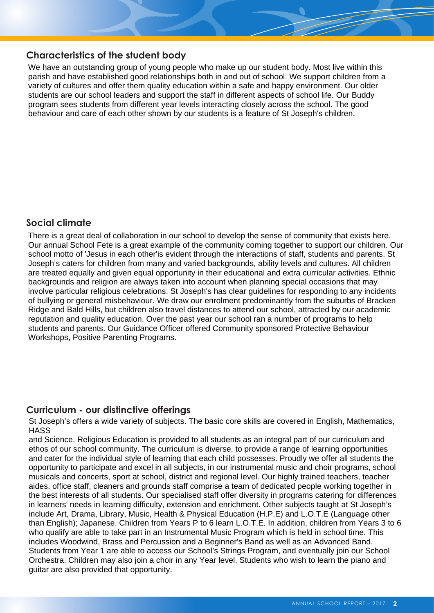#### **Characteristics of the student body**

We have an outstanding group of young people who make up our student body. Most live within this parish and have established good relationships both in and out of school. We support children from a variety of cultures and offer them quality education within a safe and happy environment. Our older students are our school leaders and support the staff in different aspects of school life. Our Buddy program sees students from different year levels interacting closely across the school. The good behaviour and care of each other shown by our students is a feature of St Joseph's children.

### **Social climate**

There is a great deal of collaboration in our school to develop the sense of community that exists here. Our annual School Fete is a great example of the community coming together to support our children. Our school motto of 'Jesus in each other'is evident through the interactions of staff, students and parents. St Joseph's caters for children from many and varied backgrounds, ability levels and cultures. All children are treated equally and given equal opportunity in their educational and extra curricular activities. Ethnic backgrounds and religion are always taken into account when planning special occasions that may involve particular religious celebrations. St Joseph's has clear guidelines for responding to any incidents of bullying or general misbehaviour. We draw our enrolment predominantly from the suburbs of Bracken Ridge and Bald Hills, but children also travel distances to attend our school, attracted by our academic reputation and quality education. Over the past year our school ran a number of programs to help students and parents. Our Guidance Officer offered Community sponsored Protective Behaviour Workshops, Positive Parenting Programs.

#### **Curriculum - our distinctive offerings**

St Joseph's offers a wide variety of subjects. The basic core skills are covered in English, Mathematics, **HASS** 

and Science. Religious Education is provided to all students as an integral part of our curriculum and ethos of our school community. The curriculum is diverse, to provide a range of learning opportunities and cater for the individual style of learning that each child possesses. Proudly we offer all students the opportunity to participate and excel in all subjects, in our instrumental music and choir programs, school musicals and concerts, sport at school, district and regional level. Our highly trained teachers, teacher aides, office staff, cleaners and grounds staff comprise a team of dedicated people working together in the best interests of all students. Our specialised staff offer diversity in programs catering for differences in learners' needs in learning difficulty, extension and enrichment. Other subjects taught at St Joseph's include Art, Drama, Library, Music, Health & Physical Education (H.P.E) and L.O.T.E (Language other than English); Japanese. Children from Years P to 6 learn L.O.T.E. In addition, children from Years 3 to 6 who qualify are able to take part in an Instrumental Music Program which is held in school time. This includes Woodwind, Brass and Percussion and a Beginner's Band as well as an Advanced Band. Students from Year 1 are able to access our School's Strings Program, and eventually join our School Orchestra. Children may also join a choir in any Year level. Students who wish to learn the piano and guitar are also provided that opportunity.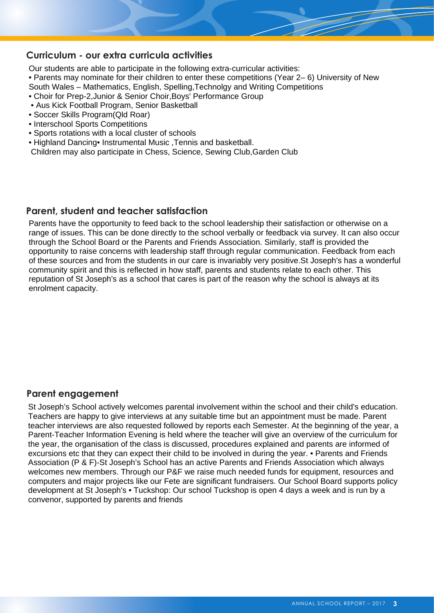#### **Curriculum - our extra curricula activities**

Our students are able to participate in the following extra-curricular activities:

• Parents may nominate for their children to enter these competitions (Year 2– 6) University of New South Wales – Mathematics, English, Spelling,Technolgy and Writing Competitions

- Choir for Prep-2,Junior & Senior Choir,Boys' Performance Group
- Aus Kick Football Program, Senior Basketball
- Soccer Skills Program(Qld Roar)
- Interschool Sports Competitions
- Sports rotations with a local cluster of schools
- Highland Dancing• Instrumental Music ,Tennis and basketball.

Children may also participate in Chess, Science, Sewing Club,Garden Club

#### **Parent, student and teacher satisfaction**

Parents have the opportunity to feed back to the school leadership their satisfaction or otherwise on a range of issues. This can be done directly to the school verbally or feedback via survey. It can also occur through the School Board or the Parents and Friends Association. Similarly, staff is provided the opportunity to raise concerns with leadership staff through regular communication. Feedback from each of these sources and from the students in our care is invariably very positive.St Joseph's has a wonderful community spirit and this is reflected in how staff, parents and students relate to each other. This reputation of St Joseph's as a school that cares is part of the reason why the school is always at its enrolment capacity.

#### **Parent engagement**

St Joseph's School actively welcomes parental involvement within the school and their child's education. Teachers are happy to give interviews at any suitable time but an appointment must be made. Parent teacher interviews are also requested followed by reports each Semester. At the beginning of the year, a Parent-Teacher Information Evening is held where the teacher will give an overview of the curriculum for the year, the organisation of the class is discussed, procedures explained and parents are informed of excursions etc that they can expect their child to be involved in during the year. • Parents and Friends Association (P & F)-St Joseph's School has an active Parents and Friends Association which always welcomes new members. Through our P&F we raise much needed funds for equipment, resources and computers and major projects like our Fete are significant fundraisers. Our School Board supports policy development at St Joseph's • Tuckshop: Our school Tuckshop is open 4 days a week and is run by a convenor, supported by parents and friends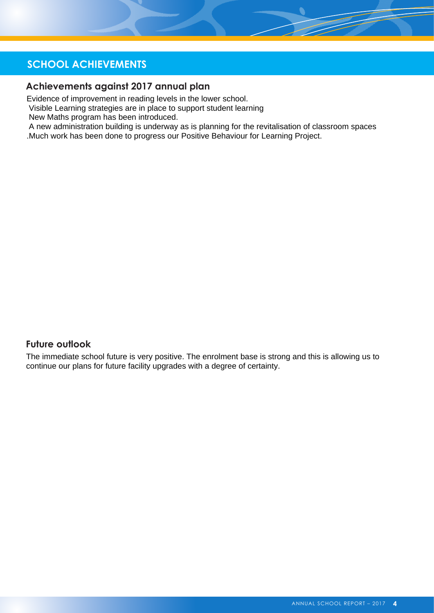# **SCHOOL ACHIEVEMENTS**

#### **Achievements against 2017 annual plan**

Evidence of improvement in reading levels in the lower school.

Visible Learning strategies are in place to support student learning

New Maths program has been introduced.

 A new administration building is underway as is planning for the revitalisation of classroom spaces .Much work has been done to progress our Positive Behaviour for Learning Project.

#### **Future outlook**

The immediate school future is very positive. The enrolment base is strong and this is allowing us to continue our plans for future facility upgrades with a degree of certainty.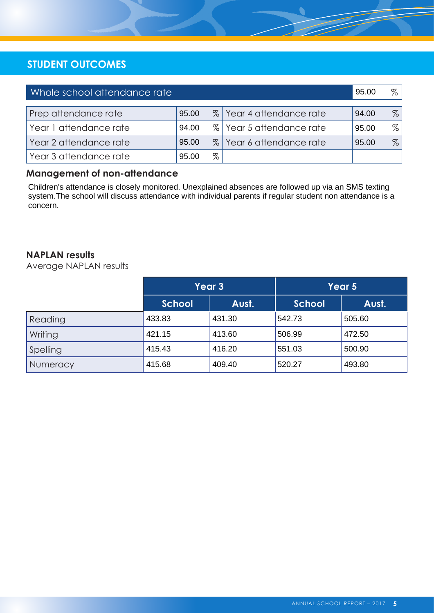## **STUDENT OUTCOMES**

| Whole school attendance rate |       |      |                          | 95.00 | %    |
|------------------------------|-------|------|--------------------------|-------|------|
|                              |       |      |                          |       |      |
| Prep attendance rate         | 95.00 |      | % Year 4 attendance rate | 94.00 | $\%$ |
| Year 1 attendance rate       | 94.00 |      | % Year 5 attendance rate | 95.00 | $\%$ |
| Year 2 attendance rate       | 95.00 |      | % Year 6 attendance rate | 95.00 | $\%$ |
| Year 3 attendance rate       | 95.00 | $\%$ |                          |       |      |

### **Management of non-attendance**

Children's attendance is closely monitored. Unexplained absences are followed up via an SMS texting system. The school will discuss attendance with individual parents if regular student non attendance is a concern.

#### **NAPLAN results**

Average NAPLAN results

|          | Year 3        |        | Year 5        |        |  |
|----------|---------------|--------|---------------|--------|--|
|          | <b>School</b> | Aust.  | <b>School</b> | Aust.  |  |
| Reading  | 433.83        | 431.30 | 542.73        | 505.60 |  |
| Writing  | 421.15        | 413.60 | 506.99        | 472.50 |  |
| Spelling | 415.43        | 416.20 | 551.03        | 500.90 |  |
| Numeracy | 415.68        | 409.40 | 520.27        | 493.80 |  |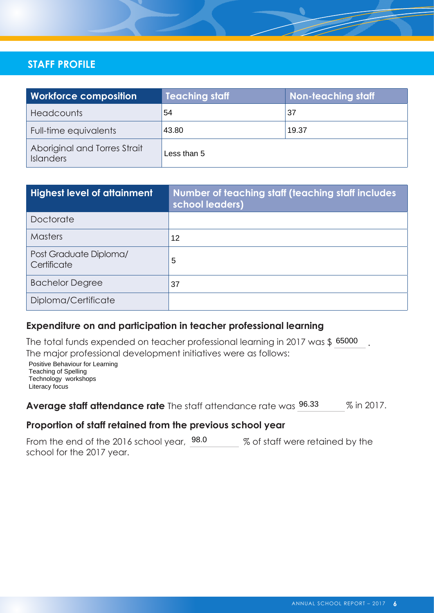# **STAFF PROFILE**

| <b>Workforce composition</b>                     | <b>Teaching staff</b> | <b>Non-teaching staff</b> |
|--------------------------------------------------|-----------------------|---------------------------|
| <b>Headcounts</b>                                | 54                    | 37                        |
| Full-time equivalents                            | 43.80                 | 19.37                     |
| Aboriginal and Torres Strait<br><b>Islanders</b> | Less than 5           |                           |

| <b>Highest level of attainment</b>    | Number of teaching staff (teaching staff includes<br>school leaders) |
|---------------------------------------|----------------------------------------------------------------------|
| Doctorate                             |                                                                      |
| <b>Masters</b>                        | 12                                                                   |
| Post Graduate Diploma/<br>Certificate | 5                                                                    |
| <b>Bachelor Degree</b>                | 37                                                                   |
| Diploma/Certificate                   |                                                                      |

#### **Expenditure on and participation in teacher professional learning**

The total funds expended on teacher professional learning in 2017 was \$ 65000 The major professional development initiatives were as follows:

Positive Behaviour for Learning Teaching of Spelling Technology workshops Literacy focus

% in 2017. Average staff attendance rate The staff attendance rate was 96.33

#### Proportion of staff retained from the previous school year

From the end of the 2016 school year,  $98.0$  % of staff were retained by the school for the 2017 year.

.